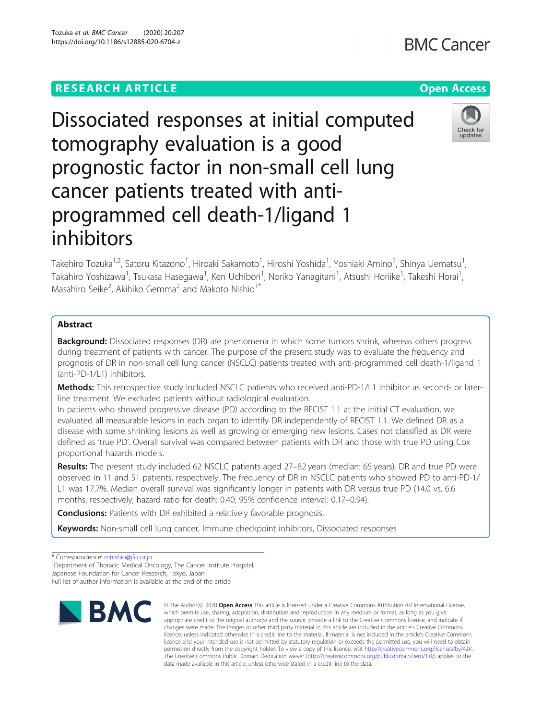# **RESEARCH ARTICLE Example 2014 12:30 The Contract of Contract ACCESS**

**BMC Cancer** 

# Dissociated responses at initial computed tomography evaluation is a good prognostic factor in non-small cell lung cancer patients treated with antiprogrammed cell death-1/ligand 1 inhibitors



Takehiro Tozuka<sup>1,2</sup>, Satoru Kitazono<sup>1</sup>, Hiroaki Sakamoto<sup>1</sup>, Hiroshi Yoshida<sup>1</sup>, Yoshiaki Amino<sup>1</sup>, Shinya Uematsu<sup>1</sup> , Takahiro Yoshizawa<sup>1</sup>, Tsukasa Hasegawa<sup>1</sup>, Ken Uchibori<sup>1</sup>, Noriko Yanagitani<sup>1</sup>, Atsushi Horiike<sup>1</sup>, Takeshi Horai<sup>1</sup> , Masahiro Seike<sup>2</sup>, Akihiko Gemma<sup>2</sup> and Makoto Nishio<sup>1\*</sup>

# Abstract

**Background:** Dissociated responses (DR) are phenomena in which some tumors shrink, whereas others progress during treatment of patients with cancer. The purpose of the present study was to evaluate the frequency and prognosis of DR in non-small cell lung cancer (NSCLC) patients treated with anti-programmed cell death-1/ligand 1 (anti-PD-1/L1) inhibitors.

Methods: This retrospective study included NSCLC patients who received anti-PD-1/L1 inhibitor as second- or laterline treatment. We excluded patients without radiological evaluation.

In patients who showed progressive disease (PD) according to the RECIST 1.1 at the initial CT evaluation, we evaluated all measurable lesions in each organ to identify DR independently of RECIST 1.1. We defined DR as a disease with some shrinking lesions as well as growing or emerging new lesions. Cases not classified as DR were defined as 'true PD'. Overall survival was compared between patients with DR and those with true PD using Cox proportional hazards models.

Results: The present study included 62 NSCLC patients aged 27-82 years (median: 65 years). DR and true PD were observed in 11 and 51 patients, respectively. The frequency of DR in NSCLC patients who showed PD to anti-PD-1/ L1 was 17.7%. Median overall survival was significantly longer in patients with DR versus true PD (14.0 vs. 6.6 months, respectively; hazard ratio for death: 0.40; 95% confidence interval: 0.17–0.94).

**Conclusions:** Patients with DR exhibited a relatively favorable prognosis.

Keywords: Non-small cell lung cancer, Immune checkpoint inhibitors, Dissociated responses

Full list of author information is available at the end of the article



<sup>©</sup> The Author(s), 2020 **Open Access** This article is licensed under a Creative Commons Attribution 4.0 International License, which permits use, sharing, adaptation, distribution and reproduction in any medium or format, as long as you give appropriate credit to the original author(s) and the source, provide a link to the Creative Commons licence, and indicate if changes were made. The images or other third party material in this article are included in the article's Creative Commons licence, unless indicated otherwise in a credit line to the material. If material is not included in the article's Creative Commons licence and your intended use is not permitted by statutory regulation or exceeds the permitted use, you will need to obtain permission directly from the copyright holder. To view a copy of this licence, visit [http://creativecommons.org/licenses/by/4.0/.](http://creativecommons.org/licenses/by/4.0/) The Creative Commons Public Domain Dedication waiver [\(http://creativecommons.org/publicdomain/zero/1.0/](http://creativecommons.org/publicdomain/zero/1.0/)) applies to the data made available in this article, unless otherwise stated in a credit line to the data.

<sup>\*</sup> Correspondence: [mnishio@jfcr.or.jp](mailto:mnishio@jfcr.or.jp) <sup>1</sup>

<sup>&</sup>lt;sup>1</sup>Department of Thoracic Medical Oncology, The Cancer Institute Hospital,

Japanese Foundation for Cancer Research, Tokyo, Japan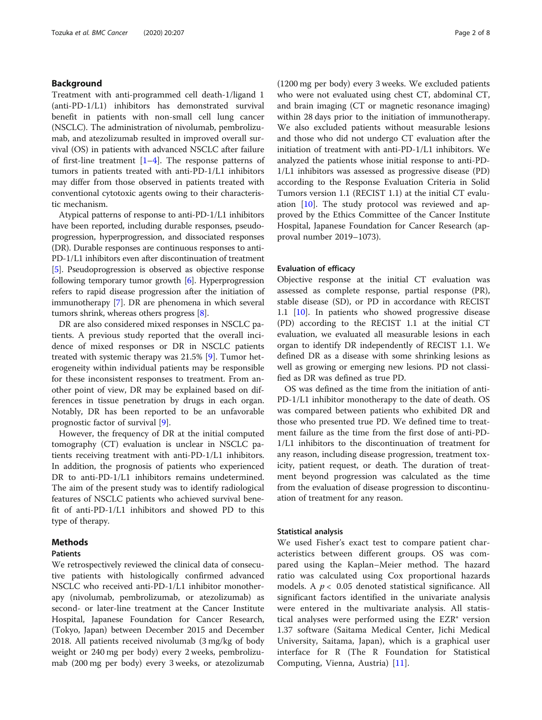# Background

Treatment with anti-programmed cell death-1/ligand 1 (anti-PD-1/L1) inhibitors has demonstrated survival benefit in patients with non-small cell lung cancer (NSCLC). The administration of nivolumab, pembrolizumab, and atezolizumab resulted in improved overall survival (OS) in patients with advanced NSCLC after failure of first-line treatment  $[1-4]$  $[1-4]$  $[1-4]$  $[1-4]$ . The response patterns of tumors in patients treated with anti-PD-1/L1 inhibitors may differ from those observed in patients treated with conventional cytotoxic agents owing to their characteristic mechanism.

Atypical patterns of response to anti-PD-1/L1 inhibitors have been reported, including durable responses, pseudoprogression, hyperprogression, and dissociated responses (DR). Durable responses are continuous responses to anti-PD-1/L1 inhibitors even after discontinuation of treatment [[5\]](#page-6-0). Pseudoprogression is observed as objective response following temporary tumor growth  $[6]$  $[6]$ . Hyperprogression refers to rapid disease progression after the initiation of immunotherapy [[7](#page-6-0)]. DR are phenomena in which several tumors shrink, whereas others progress [[8](#page-6-0)].

DR are also considered mixed responses in NSCLC patients. A previous study reported that the overall incidence of mixed responses or DR in NSCLC patients treated with systemic therapy was 21.5% [[9\]](#page-6-0). Tumor heterogeneity within individual patients may be responsible for these inconsistent responses to treatment. From another point of view, DR may be explained based on differences in tissue penetration by drugs in each organ. Notably, DR has been reported to be an unfavorable prognostic factor of survival [[9\]](#page-6-0).

However, the frequency of DR at the initial computed tomography (CT) evaluation is unclear in NSCLC patients receiving treatment with anti-PD-1/L1 inhibitors. In addition, the prognosis of patients who experienced DR to anti-PD-1/L1 inhibitors remains undetermined. The aim of the present study was to identify radiological features of NSCLC patients who achieved survival benefit of anti-PD-1/L1 inhibitors and showed PD to this type of therapy.

# Methods

#### Patients

We retrospectively reviewed the clinical data of consecutive patients with histologically confirmed advanced NSCLC who received anti-PD-1/L1 inhibitor monotherapy (nivolumab, pembrolizumab, or atezolizumab) as second- or later-line treatment at the Cancer Institute Hospital, Japanese Foundation for Cancer Research, (Tokyo, Japan) between December 2015 and December 2018. All patients received nivolumab (3 mg/kg of body weight or 240 mg per body) every 2 weeks, pembrolizumab (200 mg per body) every 3 weeks, or atezolizumab

(1200 mg per body) every 3 weeks. We excluded patients who were not evaluated using chest CT, abdominal CT, and brain imaging (CT or magnetic resonance imaging) within 28 days prior to the initiation of immunotherapy. We also excluded patients without measurable lesions and those who did not undergo CT evaluation after the initiation of treatment with anti-PD-1/L1 inhibitors. We analyzed the patients whose initial response to anti-PD-1/L1 inhibitors was assessed as progressive disease (PD) according to the Response Evaluation Criteria in Solid Tumors version 1.1 (RECIST 1.1) at the initial CT evaluation [[10\]](#page-6-0). The study protocol was reviewed and approved by the Ethics Committee of the Cancer Institute Hospital, Japanese Foundation for Cancer Research (approval number 2019–1073).

#### Evaluation of efficacy

Objective response at the initial CT evaluation was assessed as complete response, partial response (PR), stable disease (SD), or PD in accordance with RECIST 1.1 [[10](#page-6-0)]. In patients who showed progressive disease (PD) according to the RECIST 1.1 at the initial CT evaluation, we evaluated all measurable lesions in each organ to identify DR independently of RECIST 1.1. We defined DR as a disease with some shrinking lesions as well as growing or emerging new lesions. PD not classified as DR was defined as true PD.

OS was defined as the time from the initiation of anti-PD-1/L1 inhibitor monotherapy to the date of death. OS was compared between patients who exhibited DR and those who presented true PD. We defined time to treatment failure as the time from the first dose of anti-PD-1/L1 inhibitors to the discontinuation of treatment for any reason, including disease progression, treatment toxicity, patient request, or death. The duration of treatment beyond progression was calculated as the time from the evaluation of disease progression to discontinuation of treatment for any reason.

#### Statistical analysis

We used Fisher's exact test to compare patient characteristics between different groups. OS was compared using the Kaplan–Meier method. The hazard ratio was calculated using Cox proportional hazards models. A  $p < 0.05$  denoted statistical significance. All significant factors identified in the univariate analysis were entered in the multivariate analysis. All statistical analyses were performed using the EZR® version 1.37 software (Saitama Medical Center, Jichi Medical University, Saitama, Japan), which is a graphical user interface for R (The R Foundation for Statistical Computing, Vienna, Austria) [[11\]](#page-6-0).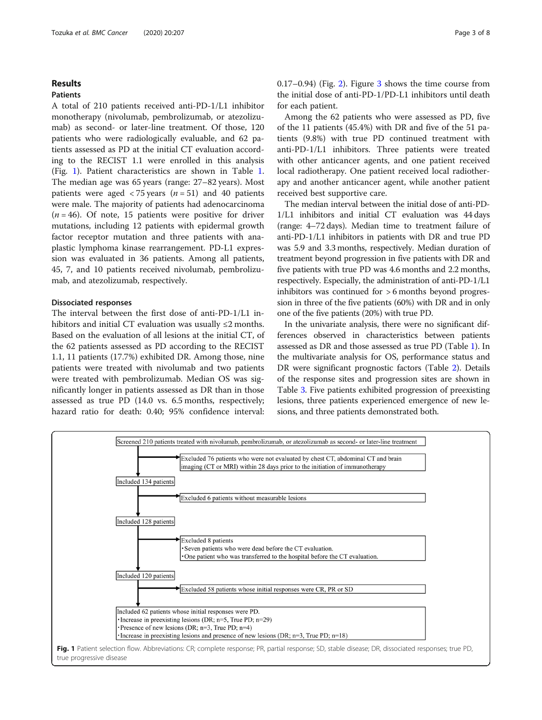# Results

# Patients

A total of 210 patients received anti-PD-1/L1 inhibitor monotherapy (nivolumab, pembrolizumab, or atezolizumab) as second- or later-line treatment. Of those, 120 patients who were radiologically evaluable, and 62 patients assessed as PD at the initial CT evaluation according to the RECIST 1.1 were enrolled in this analysis (Fig. 1). Patient characteristics are shown in Table [1](#page-3-0). The median age was 65 years (range: 27–82 years). Most patients were aged  $\langle 75 \rangle$  years (*n* = 51) and 40 patients were male. The majority of patients had adenocarcinoma  $(n = 46)$ . Of note, 15 patients were positive for driver mutations, including 12 patients with epidermal growth factor receptor mutation and three patients with anaplastic lymphoma kinase rearrangement. PD-L1 expression was evaluated in 36 patients. Among all patients, 45, 7, and 10 patients received nivolumab, pembrolizumab, and atezolizumab, respectively.

# Dissociated responses

The interval between the first dose of anti-PD-1/L1 inhibitors and initial CT evaluation was usually  $\leq 2$  months. Based on the evaluation of all lesions at the initial CT, of the 62 patients assessed as PD according to the RECIST 1.1, 11 patients (17.7%) exhibited DR. Among those, nine patients were treated with nivolumab and two patients were treated with pembrolizumab. Median OS was significantly longer in patients assessed as DR than in those assessed as true PD (14.0 vs. 6.5 months, respectively; hazard ratio for death: 0.40; 95% confidence interval:

0.17–0.94) (Fig. [2\)](#page-3-0). Figure [3](#page-3-0) shows the time course from the initial dose of anti-PD-1/PD-L1 inhibitors until death for each patient.

Among the 62 patients who were assessed as PD, five of the 11 patients (45.4%) with DR and five of the 51 patients (9.8%) with true PD continued treatment with anti-PD-1/L1 inhibitors. Three patients were treated with other anticancer agents, and one patient received local radiotherapy. One patient received local radiotherapy and another anticancer agent, while another patient received best supportive care.

The median interval between the initial dose of anti-PD-1/L1 inhibitors and initial CT evaluation was 44 days (range: 4–72 days). Median time to treatment failure of anti-PD-1/L1 inhibitors in patients with DR and true PD was 5.9 and 3.3 months, respectively. Median duration of treatment beyond progression in five patients with DR and five patients with true PD was 4.6 months and 2.2 months, respectively. Especially, the administration of anti-PD-1/L1 inhibitors was continued for > 6 months beyond progression in three of the five patients (60%) with DR and in only one of the five patients (20%) with true PD.

In the univariate analysis, there were no significant differences observed in characteristics between patients assessed as DR and those assessed as true PD (Table [1](#page-3-0)). In the multivariate analysis for OS, performance status and DR were significant prognostic factors (Table [2\)](#page-4-0). Details of the response sites and progression sites are shown in Table [3](#page-4-0). Five patients exhibited progression of preexisting lesions, three patients experienced emergence of new lesions, and three patients demonstrated both.

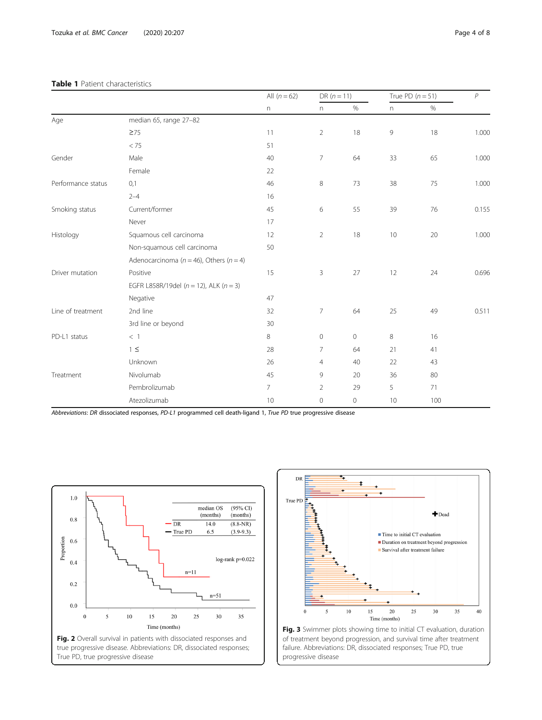<span id="page-3-0"></span>

|                    |                                                 | All $(n = 62)$ | $DR (n = 11)$  |      | True PD $(n = 51)$ |      | $\overline{P}$ |  |  |
|--------------------|-------------------------------------------------|----------------|----------------|------|--------------------|------|----------------|--|--|
|                    |                                                 | n              | n              | $\%$ | n                  | $\%$ |                |  |  |
| Age                | median 65, range 27-82                          |                |                |      |                    |      |                |  |  |
|                    | $\geq 75$                                       | 11             | $\overline{2}$ | 18   | 9                  | 18   | 1.000          |  |  |
|                    | < 75                                            | 51             |                |      |                    |      |                |  |  |
| Gender             | Male                                            | 40             | $\overline{7}$ | 64   | 33                 | 65   | 1.000          |  |  |
|                    | Female                                          | 22             |                |      |                    |      |                |  |  |
| Performance status | 0,1                                             | 46             | 8              | 73   | 38                 | 75   | 1.000          |  |  |
|                    | $2 - 4$                                         | 16             |                |      |                    |      |                |  |  |
| Smoking status     | Current/former                                  | 45             | 6              | 55   | 39                 | 76   | 0.155          |  |  |
|                    | Never                                           | 17             |                |      |                    |      |                |  |  |
| Histology          | Squamous cell carcinoma                         | 12             | 2              | 18   | 10                 | 20   | 1.000          |  |  |
|                    | Non-squamous cell carcinoma                     | 50             |                |      |                    |      |                |  |  |
|                    | Adenocarcinoma ( $n = 46$ ), Others ( $n = 4$ ) |                |                |      |                    |      |                |  |  |
| Driver mutation    | Positive                                        | 15             | 3              | 27   | 12                 | 24   | 0.696          |  |  |
|                    | EGFR L858R/19del ( $n = 12$ ), ALK ( $n = 3$ )  |                |                |      |                    |      |                |  |  |
|                    | Negative                                        | 47             |                |      |                    |      |                |  |  |
| Line of treatment  | 2nd line                                        | 32             | 7              | 64   | 25                 | 49   | 0.511          |  |  |
|                    | 3rd line or beyond                              | 30             |                |      |                    |      |                |  |  |
| PD-L1 status       | $<$ 1                                           | 8              | 0              | 0    | 8                  | 16   |                |  |  |
|                    | $1 \leq$                                        | 28             | $\overline{7}$ | 64   | 21                 | 41   |                |  |  |
|                    | Unknown                                         | 26             | $\overline{4}$ | 40   | 22                 | 43   |                |  |  |
| Treatment          | Nivolumab                                       | 45             | 9              | 20   | 36                 | 80   |                |  |  |
|                    | Pembrolizumab                                   | $\overline{7}$ | $\overline{2}$ | 29   | 5                  | 71   |                |  |  |
|                    | Atezolizumab                                    | 10             | 0              | 0    | 10                 | 100  |                |  |  |

Abbreviations: DR dissociated responses, PD-L1 programmed cell death-ligand 1, True PD true progressive disease





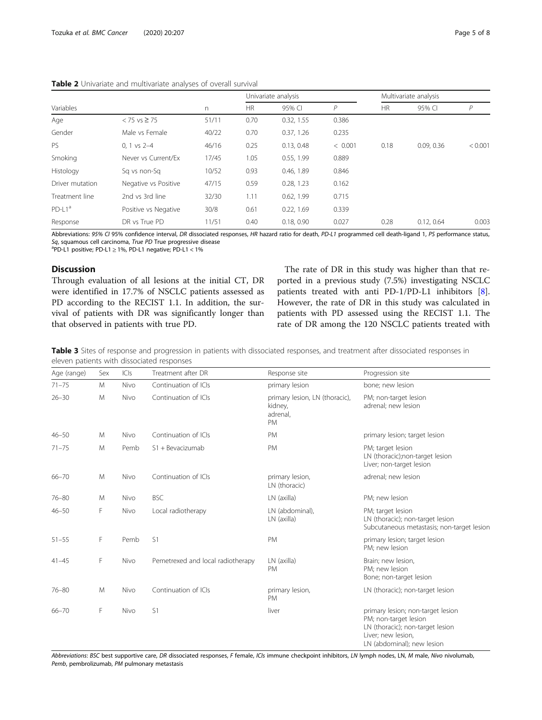<span id="page-4-0"></span>

|                 |                      |           |        | Univariate analysis |           |        | Multivariate analysis |         |  |
|-----------------|----------------------|-----------|--------|---------------------|-----------|--------|-----------------------|---------|--|
| Variables       | n                    | <b>HR</b> | 95% CI | $\mathsf{P}$        | <b>HR</b> | 95% CI | Р                     |         |  |
| Age             | $< 75$ vs ≥ 75       | 51/11     | 0.70   | 0.32, 1.55          | 0.386     |        |                       |         |  |
| Gender          | Male vs Female       | 40/22     | 0.70   | 0.37, 1.26          | 0.235     |        |                       |         |  |
| PS.             | $0.1$ vs $2-4$       | 46/16     | 0.25   | 0.13, 0.48          | < 0.001   | 0.18   | 0.09, 0.36            | < 0.001 |  |
| Smoking         | Never vs Current/Ex  | 17/45     | 1.05   | 0.55, 1.99          | 0.889     |        |                       |         |  |
| Histology       | Sa vs non-Sa         | 10/52     | 0.93   | 0.46, 1.89          | 0.846     |        |                       |         |  |
| Driver mutation | Negative vs Positive | 47/15     | 0.59   | 0.28, 1.23          | 0.162     |        |                       |         |  |
| Treatment line  | 2nd vs 3rd line      | 32/30     | 1.11   | 0.62, 1.99          | 0.715     |        |                       |         |  |
| $PD-L1a$        | Positive vs Negative | 30/8      | 0.61   | 0.22, 1.69          | 0.339     |        |                       |         |  |
| Response        | DR vs True PD        | 11/51     | 0.40   | 0.18.0.90           | 0.027     | 0.28   | 0.12.064              | 0.003   |  |

Abbreviations: 95% CI 95% confidence interval, DR dissociated responses, HR hazard ratio for death, PD-L1 programmed cell death-ligand 1, PS performance status, Sq, squamous cell carcinoma, True PD True progressive disease  $P$ PD-L1 positive; PD-L1  $\geq$  1%, PD-L1 negative; PD-L1 < 1%

# Discussion

Through evaluation of all lesions at the initial CT, DR were identified in 17.7% of NSCLC patients assessed as PD according to the RECIST 1.1. In addition, the survival of patients with DR was significantly longer than that observed in patients with true PD.

The rate of DR in this study was higher than that reported in a previous study (7.5%) investigating NSCLC patients treated with anti PD-1/PD-L1 inhibitors [\[8](#page-6-0)]. However, the rate of DR in this study was calculated in patients with PD assessed using the RECIST 1.1. The rate of DR among the 120 NSCLC patients treated with

Table 3 Sites of response and progression in patients with dissociated responses, and treatment after dissociated responses in eleven patients with dissociated responses

| Age (range) | Sex | ICIs | Treatment after DR                | Response site                                                      | Progression site                                                                                                                                   |
|-------------|-----|------|-----------------------------------|--------------------------------------------------------------------|----------------------------------------------------------------------------------------------------------------------------------------------------|
| $71 - 75$   | M   | Nivo | Continuation of ICIs              | primary lesion                                                     | bone; new lesion                                                                                                                                   |
| $26 - 30$   | M   | Nivo | Continuation of ICIs              | primary lesion, LN (thoracic),<br>kidney,<br>adrenal,<br><b>PM</b> | PM; non-target lesion<br>adrenal; new lesion                                                                                                       |
| $46 - 50$   | M   | Nivo | Continuation of ICIs              | <b>PM</b>                                                          | primary lesion; target lesion                                                                                                                      |
| $71 - 75$   | M   | Pemb | S1 + Bevacizumab                  | <b>PM</b>                                                          | PM; target lesion<br>LN (thoracic);non-target lesion<br>Liver; non-target lesion                                                                   |
| $66 - 70$   | M   | Nivo | Continuation of ICIs              | primary lesion,<br>LN (thoracic)                                   | adrenal; new lesion                                                                                                                                |
| $76 - 80$   | M   | Nivo | <b>BSC</b>                        | LN (axilla)                                                        | PM; new lesion                                                                                                                                     |
| $46 - 50$   | F   | Nivo | Local radiotherapy                | LN (abdominal),<br>LN (axilla)                                     | PM; target lesion<br>LN (thoracic); non-target lesion<br>Subcutaneous metastasis; non-target lesion                                                |
| $51 - 55$   | F   | Pemb | S <sub>1</sub>                    | PM                                                                 | primary lesion; target lesion<br>PM; new lesion                                                                                                    |
| $41 - 45$   | F   | Nivo | Pemetrexed and local radiotherapy | LN (axilla)<br><b>PM</b>                                           | Brain; new lesion,<br>PM; new lesion<br>Bone; non-target lesion                                                                                    |
| $76 - 80$   | M   | Nivo | Continuation of ICIs              | primary lesion,<br>PM                                              | LN (thoracic); non-target lesion                                                                                                                   |
| $66 - 70$   | F   | Nivo | S1                                | liver                                                              | primary lesion; non-target lesion<br>PM; non-target lesion<br>LN (thoracic); non-target lesion<br>Liver; new lesion,<br>IN (abdominal): new lesion |

Abbreviations: BSC best supportive care, DR dissociated responses, F female, ICIs immune checkpoint inhibitors, LN lymph nodes, LN, M male, Nivo nivolumab, Pemb, pembrolizumab, PM pulmonary metastasis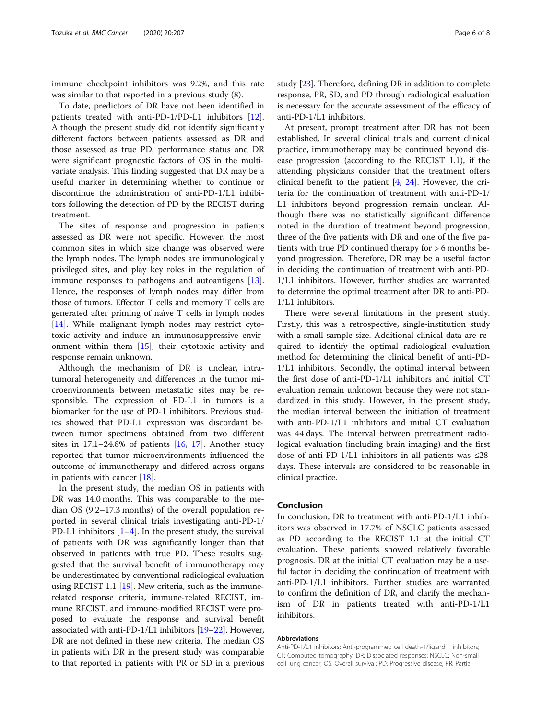immune checkpoint inhibitors was 9.2%, and this rate was similar to that reported in a previous study (8).

To date, predictors of DR have not been identified in patients treated with anti-PD-1/PD-L1 inhibitors [\[12](#page-6-0)]. Although the present study did not identify significantly different factors between patients assessed as DR and those assessed as true PD, performance status and DR were significant prognostic factors of OS in the multivariate analysis. This finding suggested that DR may be a useful marker in determining whether to continue or discontinue the administration of anti-PD-1/L1 inhibitors following the detection of PD by the RECIST during treatment.

The sites of response and progression in patients assessed as DR were not specific. However, the most common sites in which size change was observed were the lymph nodes. The lymph nodes are immunologically privileged sites, and play key roles in the regulation of immune responses to pathogens and autoantigens [\[13](#page-6-0)]. Hence, the responses of lymph nodes may differ from those of tumors. Effector T cells and memory T cells are generated after priming of naïve T cells in lymph nodes [[14\]](#page-6-0). While malignant lymph nodes may restrict cytotoxic activity and induce an immunosuppressive environment within them [\[15\]](#page-6-0), their cytotoxic activity and response remain unknown.

Although the mechanism of DR is unclear, intratumoral heterogeneity and differences in the tumor microenvironments between metastatic sites may be responsible. The expression of PD-L1 in tumors is a biomarker for the use of PD-1 inhibitors. Previous studies showed that PD-L1 expression was discordant between tumor specimens obtained from two different sites in  $17.1-24.8\%$  $17.1-24.8\%$  of patients  $[16, 17]$  $[16, 17]$ . Another study reported that tumor microenvironments influenced the outcome of immunotherapy and differed across organs in patients with cancer [\[18](#page-6-0)].

In the present study, the median OS in patients with DR was 14.0 months. This was comparable to the median OS (9.2–17.3 months) of the overall population reported in several clinical trials investigating anti-PD-1/ PD-L[1](#page-6-0) inhibitors  $[1-4]$  $[1-4]$ . In the present study, the survival of patients with DR was significantly longer than that observed in patients with true PD. These results suggested that the survival benefit of immunotherapy may be underestimated by conventional radiological evaluation using RECIST 1.1 [[19](#page-6-0)]. New criteria, such as the immunerelated response criteria, immune-related RECIST, immune RECIST, and immune-modified RECIST were proposed to evaluate the response and survival benefit associated with anti-PD-1/L1 inhibitors [[19](#page-6-0)–[22\]](#page-7-0). However, DR are not defined in these new criteria. The median OS in patients with DR in the present study was comparable to that reported in patients with PR or SD in a previous study [\[23\]](#page-7-0). Therefore, defining DR in addition to complete response, PR, SD, and PD through radiological evaluation is necessary for the accurate assessment of the efficacy of anti-PD-1/L1 inhibitors.

At present, prompt treatment after DR has not been established. In several clinical trials and current clinical practice, immunotherapy may be continued beyond disease progression (according to the RECIST 1.1), if the attending physicians consider that the treatment offers clinical benefit to the patient [\[4](#page-6-0), [24](#page-7-0)]. However, the criteria for the continuation of treatment with anti-PD-1/ L1 inhibitors beyond progression remain unclear. Although there was no statistically significant difference noted in the duration of treatment beyond progression, three of the five patients with DR and one of the five patients with true PD continued therapy for > 6 months beyond progression. Therefore, DR may be a useful factor in deciding the continuation of treatment with anti-PD-1/L1 inhibitors. However, further studies are warranted to determine the optimal treatment after DR to anti-PD-1/L1 inhibitors.

There were several limitations in the present study. Firstly, this was a retrospective, single-institution study with a small sample size. Additional clinical data are required to identify the optimal radiological evaluation method for determining the clinical benefit of anti-PD-1/L1 inhibitors. Secondly, the optimal interval between the first dose of anti-PD-1/L1 inhibitors and initial CT evaluation remain unknown because they were not standardized in this study. However, in the present study, the median interval between the initiation of treatment with anti-PD-1/L1 inhibitors and initial CT evaluation was 44 days. The interval between pretreatment radiological evaluation (including brain imaging) and the first dose of anti-PD-1/L1 inhibitors in all patients was  $\leq 28$ days. These intervals are considered to be reasonable in clinical practice.

## Conclusion

In conclusion, DR to treatment with anti-PD-1/L1 inhibitors was observed in 17.7% of NSCLC patients assessed as PD according to the RECIST 1.1 at the initial CT evaluation. These patients showed relatively favorable prognosis. DR at the initial CT evaluation may be a useful factor in deciding the continuation of treatment with anti-PD-1/L1 inhibitors. Further studies are warranted to confirm the definition of DR, and clarify the mechanism of DR in patients treated with anti-PD-1/L1 inhibitors.

#### Abbreviations

Anti-PD-1/L1 inhibitors: Anti-programmed cell death-1/ligand 1 inhibitors; CT: Computed tomography; DR: Dissociated responses; NSCLC: Non-small cell lung cancer; OS: Overall survival; PD: Progressive disease; PR: Partial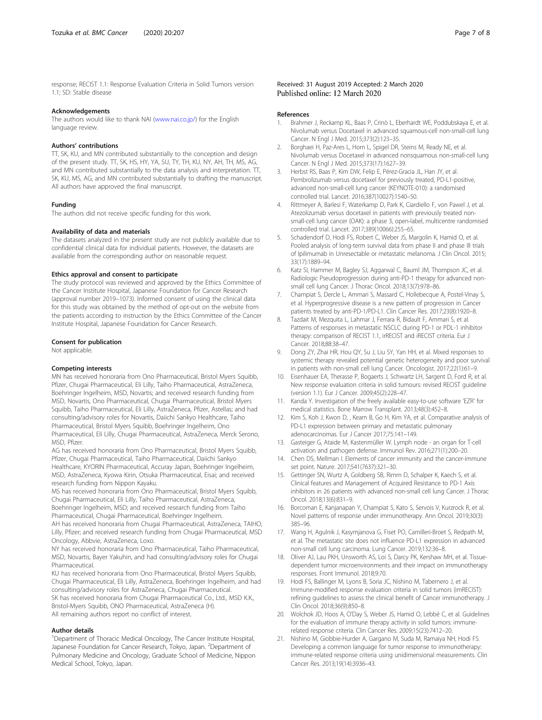<span id="page-6-0"></span>response; RECIST 1.1: Response Evaluation Criteria in Solid Tumors version 1.1; SD: Stable disease

#### Acknowledgements

The authors would like to thank NAI [\(www.nai.co.jp/\)](http://www.nai.co.jp/) for the English language review.

#### Authors' contributions

TT, SK, KU, and MN contributed substantially to the conception and design of the present study. TT, SK, HS, HY, YA, SU, TY, TH, KU, NY, AH, TH, MS, AG, and MN contributed substantially to the data analysis and interpretation. TT, SK, KU, MS, AG, and MN contributed substantially to drafting the manuscript. All authors have approved the final manuscript.

#### Funding

The authors did not receive specific funding for this work.

#### Availability of data and materials

The datasets analyzed in the present study are not publicly available due to confidential clinical data for individual patients. However, the datasets are available from the corresponding author on reasonable request.

#### Ethics approval and consent to participate

The study protocol was reviewed and approved by the Ethics Committee of the Cancer Institute Hospital, Japanese Foundation for Cancer Research (approval number 2019–1073). Informed consent of using the clinical data for this study was obtained by the method of opt-out on the website from the patients according to instruction by the Ethics Committee of the Cancer Institute Hospital, Japanese Foundation for Cancer Research.

#### Consent for publication

Not applicable.

#### Competing interests

MN has received honoraria from Ono Pharmaceutical, Bristol Myers Squibb, Pfizer, Chugai Pharmaceutical, Eli Lilly, Taiho Pharmaceutical, AstraZeneca, Boehringer Ingelheim, MSD, Novartis; and received research funding from MSD, Novartis, Ono Pharmaceutical, Chugai Pharmaceutical, Bristol Myers Squibb, Taiho Pharmaceutical, Eli Lilly, AstraZeneca, Pfizer, Astellas; and had consulting/advisory roles for Novartis, Daiichi Sankyo Healthcare, Taiho Pharmaceutical, Bristol Myers Squibb, Boehringer Ingelheim, Ono Pharmaceutical, Eli Lilly, Chugai Pharmaceutical, AstraZeneca, Merck Serono, MSD, Pfizer.

AG has received honoraria from Ono Pharmaceutical, Bristol Myers Squibb, Pfizer, Chugai Pharmaceutical, Taiho Pharmaceutical, Daiichi Sankyo Healthcare, KYORIN Pharmaceutical, Accuray Japan, Boehringer Ingelheim, MSD, AstraZeneca, Kyowa Kirin, Otsuka Pharmaceutical, Eisai; and received research funding from Nippon Kayaku.

MS has received honoraria from Ono Pharmaceutical, Bristol Myers Squibb, Chugai Pharmaceutical, Eli Lilly, Taiho Pharmaceutical, AstraZeneca, Boehringer Ingelheim, MSD; and received research funding from Taiho Pharmaceutical, Chugai Pharmaceutical, Boehringer Ingelheim.

AH has received honoraria from Chugai Pharmaceutical, AstraZeneca, TAIHO, Lilly, Pfizer; and received research funding from Chugai Pharmaceutical, MSD Oncology, Abbvie, AstraZeneca, Loxo.

NY has received honoraria from Ono Pharmaceutical, Taiho Pharmaceutical, MSD, Novartis, Bayer Yakuhin, and had consulting/advisory roles for Chugai Pharmaceutical.

KU has received honoraria from Ono Pharmaceutical, Bristol Myers Squibb, Chugai Pharmaceutical, Eli Lilly, AstraZeneca, Boehringer Ingelheim, and had consulting/advisory roles for AstraZeneca, Chugai Pharmaceutical. SK has received honoraria from Chugai Pharmaceutical Co., Ltd., MSD K.K., Bristol-Myers Squibb, ONO Pharmaceutical, AstraZeneca (H). All remaining authors report no conflict of interest.

#### Author details

<sup>1</sup>Department of Thoracic Medical Oncology, The Cancer Institute Hospital, Japanese Foundation for Cancer Research, Tokyo, Japan. <sup>2</sup>Department of Pulmonary Medicine and Oncology, Graduate School of Medicine, Nippon Medical School, Tokyo, Japan.

#### Received: 31 August 2019 Accepted: 2 March 2020 Published online: 12 March 2020

#### References

- 1. Brahmer J, Reckamp KL, Baas P, Crinò L, Eberhardt WE, Poddubskaya E, et al. Nivolumab versus Docetaxel in advanced squamous-cell non-small-cell lung Cancer. N Engl J Med. 2015;373(2):123–35.
- 2. Borghaei H, Paz-Ares L, Horn L, Spigel DR, Steins M, Ready NE, et al. Nivolumab versus Docetaxel in advanced nonsquamous non-small-cell lung Cancer. N Engl J Med. 2015;373(17):1627–39.
- 3. Herbst RS, Baas P, Kim DW, Felip E, Pérez-Gracia JL, Han JY, et al. Pembrolizumab versus docetaxel for previously treated, PD-L1-positive, advanced non-small-cell lung cancer (KEYNOTE-010): a randomised controlled trial. Lancet. 2016;387(10027):1540–50.
- 4. Rittmeyer A, Barlesi F, Waterkamp D, Park K, Ciardiello F, von Pawel J, et al. Atezolizumab versus docetaxel in patients with previously treated nonsmall-cell lung cancer (OAK): a phase 3, open-label, multicentre randomised controlled trial. Lancet. 2017;389(10066):255–65.
- 5. Schadendorf D, Hodi FS, Robert C, Weber JS, Margolin K, Hamid O, et al. Pooled analysis of long-term survival data from phase II and phase III trials of Ipilimumab in Unresectable or metastatic melanoma. J Clin Oncol. 2015; 33(17):1889–94.
- 6. Katz SI, Hammer M, Bagley SJ, Aggarwal C, Bauml JM, Thompson JC, et al. Radiologic Pseudoprogression during anti-PD-1 therapy for advanced nonsmall cell lung Cancer. J Thorac Oncol. 2018;13(7):978–86.
- 7. Champiat S, Dercle L, Ammari S, Massard C, Hollebecque A, Postel-Vinay S, et al. Hyperprogressive disease is a new pattern of progression in Cancer patients treated by anti-PD-1/PD-L1. Clin Cancer Res. 2017;23(8):1920–8.
- Tazdait M, Mezquita L, Lahmar J, Ferrara R, Bidault F, Ammari S, et al. Patterns of responses in metastatic NSCLC during PD-1 or PDL-1 inhibitor therapy: comparison of RECIST 1.1, irRECIST and iRECIST criteria. Eur J Cancer. 2018;88:38–47.
- 9. Dong ZY, Zhai HR, Hou QY, Su J, Liu SY, Yan HH, et al. Mixed responses to systemic therapy revealed potential genetic heterogeneity and poor survival in patients with non-small cell lung Cancer. Oncologist. 2017;22(1):61–9.
- 10. Eisenhauer EA, Therasse P, Bogaerts J, Schwartz LH, Sargent D, Ford R, et al. New response evaluation criteria in solid tumours: revised RECIST guideline (version 1.1). Eur J Cancer. 2009;45(2):228–47.
- 11. Kanda Y. Investigation of the freely available easy-to-use software 'EZR' for medical statistics. Bone Marrow Transplant. 2013;48(3):452–8.
- 12. Kim S, Koh J, Kwon D, , Keam B, Go H, Kim YA, et al. Comparative analysis of PD-L1 expression between primary and metastatic pulmonary adenocarcinomas. Eur J Cancer 2017;75:141–149.
- 13. Gasteiger G, Ataide M, Kastenmüller W. Lymph node an organ for T-cell activation and pathogen defense. Immunol Rev. 2016;271(1):200–20.
- 14. Chen DS, Mellman I. Elements of cancer immunity and the cancer-immune set point. Nature. 2017;541(7637):321–30.
- 15. Gettinger SN, Wurtz A, Goldberg SB, Rimm D, Schalper K, Kaech S, et al. Clinical features and Management of Acquired Resistance to PD-1 Axis inhibitors in 26 patients with advanced non-small cell lung Cancer. J Thorac Oncol. 2018;13(6):831–9.
- 16. Borcoman E, Kanjanapan Y, Champiat S, Kato S, Servois V, Kurzrock R, et al. Novel patterns of response under immunotherapy. Ann Oncol. 2019;30(3): 385–96.
- 17. Wang H, Agulnik J, Kasymjanova G, Fiset PO, Camilleri-Broet S, Redpath M, et al. The metastatic site does not influence PD-L1 expression in advanced non-small cell lung carcinoma. Lung Cancer. 2019;132:36–8.
- 18. Oliver AJ, Lau PKH, Unsworth AS, Loi S, Darcy PK, Kershaw MH, et al. Tissuedependent tumor microenvironments and their impact on immunotherapy responses. Front Immunol. 2018;9:70.
- 19. Hodi FS, Ballinger M, Lyons B, Soria JC, Nishino M, Tabernero J, et al. Immune-modified response evaluation criteria in solid tumors (imRECIST): refining guidelines to assess the clinical benefit of Cancer immunotherapy. J Clin Oncol. 2018;36(9):850–8.
- 20. Wolchok JD, Hoos A, O'Day S, Weber JS, Hamid O, Lebbé C, et al. Guidelines for the evaluation of immune therapy activity in solid tumors: immunerelated response criteria. Clin Cancer Res. 2009;15(23):7412–20.
- 21. Nishino M, Giobbie-Hurder A, Gargano M, Suda M, Ramaiya NH, Hodi FS. Developing a common language for tumor response to immunotherapy: immune-related response criteria using unidimensional measurements. Clin Cancer Res. 2013;19(14):3936–43.